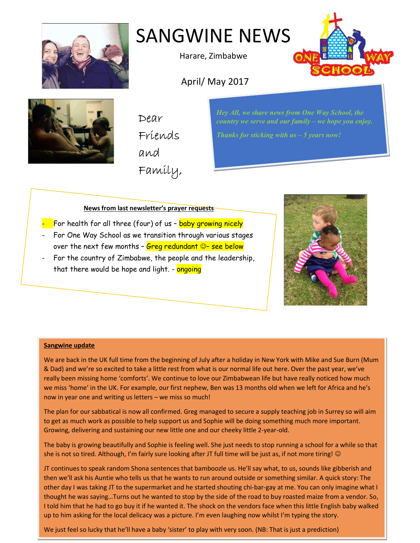

# SANGWINE NEWS

Harare, Zimbabwe



April/ May 2017



Dear Friends and Family, Hey All, we share news from One Way School, the country we serve and our family – we hope you enjoy.

Thanks for sticking with  $us - 5$  years now!

# News from last newsletter's prayer requests

- For health for all three (four) of us baby growing nicely
- For One Way School as we transition through various stages over the next few months -  $Greg$  redundant  $©$ - see below
- For the country of Zimbabwe, the people and the leadership, that there would be hope and light. - ongoing



### Sangwine update

We are back in the UK full time from the beginning of July after a holiday in New York with Mike and Sue Burn (Mum & Dad) and we're so excited to take a little rest from what is our normal life out here. Over the past year, we've really been missing home 'comforts'. We continue to love our Zimbabwean life but have really noticed how much we miss 'home' in the UK. For example, our first nephew, Ben was 13 months old when we left for Africa and he's now in year one and writing us letters – we miss so much!

The plan for our sabbatical is now all confirmed. Greg managed to secure a supply teaching job in Surrey so will aim to get as much work as possible to help support us and Sophie will be doing something much more important. Growing, delivering and sustaining our new little one and our cheeky little 2-year-old.

The baby is growing beautifully and Sophie is feeling well. She just needs to stop running a school for a while so that she is not so tired. Although, I'm fairly sure looking after JT full time will be just as, if not more tiring! ©

JT continues to speak random Shona sentences that bamboozle us. He'll say what, to us, sounds like gibberish and then we'll ask his Auntie who tells us that he wants to run around outside or something similar. A quick story: The other day I was taking JT to the supermarket and he started shouting chi-bar-gay at me. You can only imagine what I thought he was saying…Turns out he wanted to stop by the side of the road to buy roasted maize from a vendor. So, I told him that he had to go buy it if he wanted it. The shock on the vendors face when this little English baby walked up to him asking for the local delicacy was a picture. I'm even laughing now whilst I'm typing the story.

We just feel so lucky that he'll have a baby 'sister' to play with very soon. (NB: That is just a prediction)